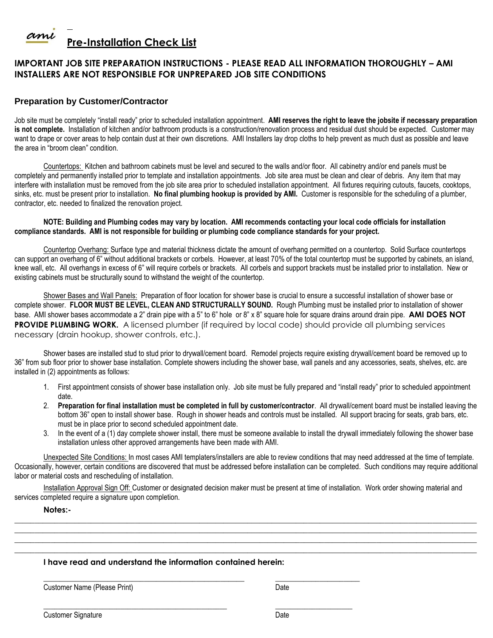

## **IMPORTANT JOB SITE PREPARATION INSTRUCTIONS - PLEASE READ ALL INFORMATION THOROUGHLY – AMI INSTALLERS ARE NOT RESPONSIBLE FOR UNPREPARED JOB SITE CONDITIONS**

### **Preparation by Customer/Contractor**

Job site must be completely "install ready" prior to scheduled installation appointment. **AMI reserves the right to leave the jobsite if necessary preparation**  is not complete. Installation of kitchen and/or bathroom products is a construction/renovation process and residual dust should be expected. Customer may want to drape or cover areas to help contain dust at their own discretions. AMI Installers lay drop cloths to help prevent as much dust as possible and leave the area in "broom clean" condition.

Countertops: Kitchen and bathroom cabinets must be level and secured to the walls and/or floor. All cabinetry and/or end panels must be completely and permanently installed prior to template and installation appointments. Job site area must be clean and clear of debris. Any item that may interfere with installation must be removed from the job site area prior to scheduled installation appointment. All fixtures requiring cutouts, faucets, cooktops, sinks, etc. must be present prior to installation. **No final plumbing hookup is provided by AMI.** Customer is responsible for the scheduling of a plumber, contractor, etc. needed to finalized the renovation project.

#### **NOTE: Building and Plumbing codes may vary by location. AMI recommends contacting your local code officials for installation compliance standards. AMI is not responsible for building or plumbing code compliance standards for your project.**

Countertop Overhang: Surface type and material thickness dictate the amount of overhang permitted on a countertop. Solid Surface countertops can support an overhang of 6" without additional brackets or corbels. However, at least 70% of the total countertop must be supported by cabinets, an island, knee wall, etc. All overhangs in excess of 6" will require corbels or brackets. All corbels and support brackets must be installed prior to installation. New or existing cabinets must be structurally sound to withstand the weight of the countertop.

Shower Bases and Wall Panels: Preparation of floor location for shower base is crucial to ensure a successful installation of shower base or complete shower. **FLOOR MUST BE LEVEL, CLEAN AND STRUCTURALLY SOUND.** Rough Plumbing must be installed prior to installation of shower base. AMI shower bases accommodate a 2" drain pipe with a 5" to 6" hole or 8" x 8" square hole for square drains around drain pipe. **AMI DOES NOT PROVIDE PLUMBING WORK.** A licensed plumber (if required by local code) should provide all plumbing services necessary (drain hookup, shower controls, etc.).

Shower bases are installed stud to stud prior to drywall/cement board. Remodel projects require existing drywall/cement board be removed up to 36" from sub floor prior to shower base installation. Complete showers including the shower base, wall panels and any accessories, seats, shelves, etc. are installed in (2) appointments as follows:

- 1. First appointment consists of shower base installation only. Job site must be fully prepared and "install ready" prior to scheduled appointment date.
- 2. **Preparation for final installation must be completed in full by customer/contractor**. All drywall/cement board must be installed leaving the bottom 36" open to install shower base. Rough in shower heads and controls must be installed. All support bracing for seats, grab bars, etc. must be in place prior to second scheduled appointment date.
- 3. In the event of a (1) day complete shower install, there must be someone available to install the drywall immediately following the shower base installation unless other approved arrangements have been made with AMI.

Unexpected Site Conditions: In most cases AMI templaters/installers are able to review conditions that may need addressed at the time of template. Occasionally, however, certain conditions are discovered that must be addressed before installation can be completed. Such conditions may require additional labor or material costs and rescheduling of installation.

Installation Approval Sign Off: Customer or designated decision maker must be present at time of installation. Work order showing material and services completed require a signature upon completion.

**\_\_\_\_\_\_\_\_\_\_\_\_\_\_\_\_\_\_\_\_\_\_\_\_\_\_\_\_\_\_\_\_\_\_\_\_\_\_\_\_\_\_\_\_\_\_\_\_\_\_\_\_\_\_\_\_\_\_\_\_\_\_\_\_\_\_\_\_\_\_\_\_\_\_\_\_\_\_\_\_\_\_\_\_\_\_\_\_\_\_\_\_\_\_\_\_\_\_\_\_\_\_\_\_\_\_\_\_\_\_\_\_\_\_\_ \_\_\_\_\_\_\_\_\_\_\_\_\_\_\_\_\_\_\_\_\_\_\_\_\_\_\_\_\_\_\_\_\_\_\_\_\_\_\_\_\_\_\_\_\_\_\_\_\_\_\_\_\_\_\_\_\_\_\_\_\_\_\_\_\_\_\_\_\_\_\_\_\_\_\_\_\_\_\_\_\_\_\_\_\_\_\_\_\_\_\_\_\_\_\_\_\_\_\_\_\_\_\_\_\_\_\_\_\_\_\_\_\_\_\_ \_\_\_\_\_\_\_\_\_\_\_\_\_\_\_\_\_\_\_\_\_\_\_\_\_\_\_\_\_\_\_\_\_\_\_\_\_\_\_\_\_\_\_\_\_\_\_\_\_\_\_\_\_\_\_\_\_\_\_\_\_\_\_\_\_\_\_\_\_\_\_\_\_\_\_\_\_\_\_\_\_\_\_\_\_\_\_\_\_\_\_\_\_\_\_\_\_\_\_\_\_\_\_\_\_\_\_\_\_\_\_\_\_\_\_ \_\_\_\_\_\_\_\_\_\_\_\_\_\_\_\_\_\_\_\_\_\_\_\_\_\_\_\_\_\_\_\_\_\_\_\_\_\_\_\_\_\_\_\_\_\_\_\_\_\_\_\_\_\_\_\_\_\_\_\_\_\_\_\_\_\_\_\_\_\_\_\_\_\_\_\_\_\_\_\_\_\_\_\_\_\_\_\_\_\_\_\_\_\_\_\_\_\_\_\_\_\_\_\_\_\_\_\_\_\_\_\_\_\_\_**

#### **Notes:-**

#### **I have read and understand the information contained herein:**

\_\_\_\_\_\_\_\_\_\_\_\_\_\_\_\_\_\_\_\_\_\_\_\_\_\_\_\_\_\_\_\_\_\_\_\_\_\_\_\_\_\_\_\_\_\_\_\_\_\_ \_\_\_\_\_\_\_\_\_\_\_\_\_\_\_\_\_\_\_\_\_

Customer Name (Please Print) Date

**\_\_\_\_\_\_\_\_\_\_\_\_\_\_\_\_\_\_\_\_\_\_\_\_\_\_\_\_\_\_\_\_\_\_\_\_\_\_\_\_\_\_\_\_\_\_\_\_\_\_ \_\_\_\_\_\_\_\_\_\_\_\_\_\_\_\_\_\_\_\_\_**